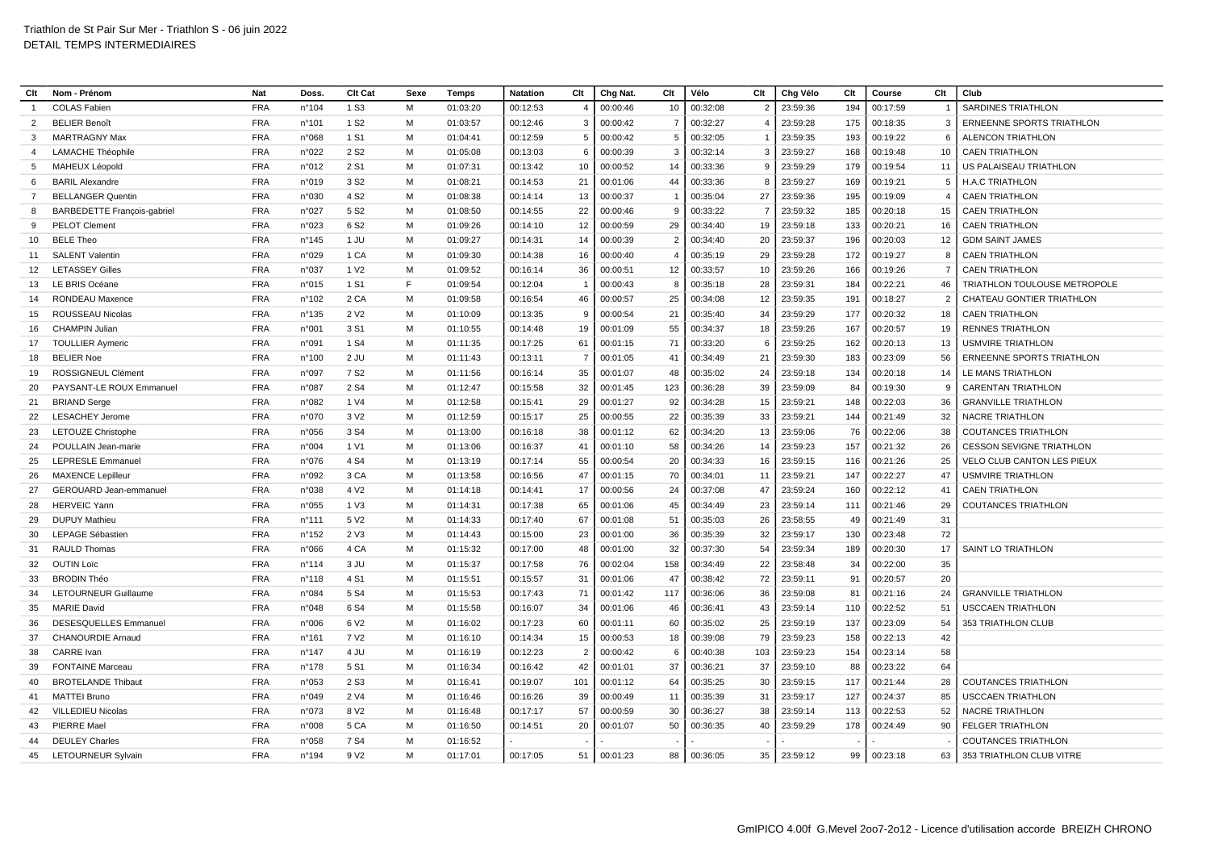| Clt             | Nom - Prénom                      | <b>Nat</b> | Doss.           | Clt Cat          | Sexe | Temps    | <b>Natation</b> | Clt            | Chg Nat. | Clt            | Vélo     | Clt            | Chg Vélo    | Clt | Course   | Clt            | Club                             |
|-----------------|-----------------------------------|------------|-----------------|------------------|------|----------|-----------------|----------------|----------|----------------|----------|----------------|-------------|-----|----------|----------------|----------------------------------|
|                 | <b>COLAS Fabien</b>               | <b>FRA</b> | n°104           | 1 S <sub>3</sub> | M    | 01:03:20 | 00:12:53        | $\overline{4}$ | 00:00:46 | 10             | 00:32:08 | 2              | 23:59:36    | 194 | 00:17:59 |                | <b>SARDINES TRIATHLON</b>        |
| 2               | <b>BELIER Benoît</b>              | <b>FRA</b> | n°101           | 1 S <sub>2</sub> | м    | 01:03:57 | 00:12:46        | 3              | 00:00:42 | $\overline{7}$ | 00:32:27 | 4              | 23:59:28    | 175 | 00:18:35 | -3             | <b>ERNEENNE SPORTS TRIATHLON</b> |
| 3               | <b>MARTRAGNY Max</b>              | <b>FRA</b> | n°068           | 1 S1             | M    | 01:04:41 | 00:12:59        | 5              | 00:00:42 | 5              | 00:32:05 |                | 23:59:35    | 193 | 00:19:22 | 6              | <b>ALENCON TRIATHLON</b>         |
| $\overline{a}$  | <b>LAMACHE Théophile</b>          | <b>FRA</b> | n°022           | 2 S <sub>2</sub> | M    | 01:05:08 | 00:13:03        | 6              | 00:00:39 | 3              | 00:32:14 | $\mathbf{3}$   | 23:59:27    | 168 | 00:19:48 | 10             | <b>CAEN TRIATHLON</b>            |
| -5              | MAHEUX Léopold                    | <b>FRA</b> | n°012           | 2 S1             | M    | 01:07:31 | 00:13:42        | 10             | 00:00:52 | 14             | 00:33:36 | 9              | 23:59:29    | 179 | 00:19:54 | 11             | US PALAISEAU TRIATHLON           |
| 6               | <b>BARIL Alexandre</b>            | <b>FRA</b> | n°019           | 3 S <sub>2</sub> | м    | 01:08:21 | 00:14:53        | 21             | 00:01:06 | 44             | 00:33:36 | 8              | 23:59:27    | 169 | 00:19:21 | 5              | <b>H.A.C TRIATHLON</b>           |
| $\overline{7}$  | <b>BELLANGER Quentin</b>          | <b>FRA</b> | n°030           | 4 S <sub>2</sub> | M    | 01:08:38 | 00:14:14        | 13             | 00:00:37 |                | 00:35:04 | 27             | 23:59:36    | 195 | 00:19:09 | $\overline{4}$ | <b>CAEN TRIATHLON</b>            |
| -8              | <b>BARBEDETTE François-gabrie</b> | <b>FRA</b> | n°027           | 5 S <sub>2</sub> | M    | 01:08:50 | 00:14:55        | 22             | 00:00:46 | 9              | 00:33:22 | $\overline{7}$ | 23:59:32    | 185 | 00:20:18 | 15             | <b>CAEN TRIATHLON</b>            |
| -9              | <b>PELOT Clement</b>              | <b>FRA</b> | n°023           | 6 S <sub>2</sub> | M    | 01:09:26 | 00:14:10        | 12             | 00:00:59 | 29             | 00:34:40 | 19             | 23:59:18    | 133 | 00:20:21 | 16             | <b>CAEN TRIATHLON</b>            |
| 10              | <b>BELE Theo</b>                  | <b>FRA</b> | n°145           | 1 JU             | M    | 01:09:27 | 00:14:31        | 14             | 00:00:39 | $\overline{2}$ | 00:34:40 | 20             | 23:59:37    | 196 | 00:20:03 | 12             | <b>GDM SAINT JAMES</b>           |
| 11              | <b>SALENT Valentin</b>            | <b>FRA</b> | n°029           | 1 CA             | M    | 01:09:30 | 00:14:38        | 16             | 00:00:40 | $\overline{4}$ | 00:35:19 | 29             | 23:59:28    | 172 | 00:19:27 | 8              | <b>CAEN TRIATHLON</b>            |
| 12 <sup>2</sup> | <b>LETASSEY Gilles</b>            | <b>FRA</b> | n°037           | 1 V <sub>2</sub> | M    | 01:09:52 | 00:16:14        | 36             | 00:00:51 | 12             | 00:33:57 | 10             | 23:59:26    | 166 | 00:19:26 |                | <b>CAEN TRIATHLON</b>            |
| 13              | LE BRIS Océane                    | <b>FRA</b> | n°015           | 1 S1             | F    | 01:09:54 | 00:12:04        | -1             | 00:00:43 | 8              | 00:35:18 | 28             | 23:59:31    | 184 | 00:22:21 | 46             | TRIATHLON TOULOUSE METROPOLE     |
| 14              | <b>RONDEAU Maxence</b>            | <b>FRA</b> | n°102           | 2 CA             | M    | 01:09:58 | 00:16:54        | 46             | 00:00:57 | 25             | 00:34:08 | 12             | 23:59:35    | 191 | 00:18:27 | $\overline{2}$ | CHATEAU GONTIER TRIATHLON        |
| 15              | ROUSSEAU Nicolas                  | <b>FRA</b> | n°135           | 2 V <sub>2</sub> | м    | 01:10:09 | 00:13:35        | 9              | 00:00:54 | 21             | 00:35:40 | 34             | 23:59:29    | 177 | 00:20:32 | 18             | <b>CAEN TRIATHLON</b>            |
| 16              | <b>CHAMPIN Juliar</b>             | <b>FRA</b> | n°001           | 3 S1             | M    | 01:10:55 | 00:14:48        | 19             | 00:01:09 | 55             | 00:34:37 | 18             | 23:59:26    | 167 | 00:20:57 | 19             | <b>RENNES TRIATHLON</b>          |
| 17              | <b>TOULLIER Aymeric</b>           | <b>FRA</b> | n°091           | 1 S <sub>4</sub> | M    | 01:11:35 | 00:17:25        | 61             | 00:01:15 | 71             | 00:33:20 | 6              | 23:59:25    | 162 | 00:20:13 | 13             | <b>USMVIRE TRIATHLON</b>         |
| 18              | <b>BELIER Noe</b>                 | <b>FRA</b> | n°100           | 2 JU             | м    | 01:11:43 | 00:13:11        | $\overline{7}$ | 00:01:05 | 41             | 00:34:49 | 21             | 23:59:30    | 183 | 00:23:09 | 56             | ERNEENNE SPORTS TRIATHLON        |
| 19              | ROSSIGNEUL Clément                | <b>FRA</b> | n°097           | 7 S <sub>2</sub> | M    | 01:11:56 | 00:16:14        | 35             | 00:01:07 | 48             | 00:35:02 | 24             | 23:59:18    | 134 | 00:20:18 | 14             | LE MANS TRIATHLON                |
| 20              | PAYSANT-LE ROUX Emmanuel          | <b>FRA</b> | n°087           | 2 S <sub>4</sub> | м    | 01:12:47 | 00:15:58        | 32             | 00:01:45 | 123            | 00:36:28 | 39             | 23:59:09    | 84  | 00:19:30 | 9              | <b>CARENTAN TRIATHLON</b>        |
| 21              | <b>BRIAND Serge</b>               | <b>FRA</b> | n°082           | 1 V4             | M    | 01:12:58 | 00:15:41        | 29             | 00:01:27 | 92             | 00:34:28 | 15             | 23:59:21    | 148 | 00:22:03 | 36             | <b>GRANVILLE TRIATHLON</b>       |
| 22              | <b>LESACHEY Jerome</b>            | <b>FRA</b> | n°070           | 3 V <sub>2</sub> | M    | 01:12:59 | 00:15:17        | 25             | 00:00:55 | 22             | 00:35:39 | 33             | 23:59:21    | 144 | 00:21:49 | 32             | <b>NACRE TRIATHLON</b>           |
| 23              | <b>LETOUZE Christophe</b>         | <b>FRA</b> | n°056           | 3 S <sub>4</sub> | м    | 01:13:00 | 00:16:18        | 38             | 00:01:12 | 62             | 00:34:20 | 13             | 23:59:06    | 76  | 00:22:06 | 38             | <b>COUTANCES TRIATHLON</b>       |
| 24              | POULLAIN Jean-marie               | <b>FRA</b> | n°004           | 1 V1             | M    | 01:13:06 | 00:16:37        | 41             | 00:01:10 | 58             | 00:34:26 | 14             | 23:59:23    | 157 | 00:21:32 | 26             | <b>CESSON SEVIGNE TRIATHLON</b>  |
| 25              | <b>LEPRESLE Emmanue</b>           | <b>FRA</b> | n°076           | 4 S4             | м    | 01:13:19 | 00:17:14        | 55             | 00:00:54 | 20             | 00:34:33 | 16             | 23:59:15    | 116 | 00:21:26 | 25             | VELO CLUB CANTON LES PIEUX       |
| 26              | <b>MAXENCE Lepilleur</b>          | <b>FRA</b> | n°092           | 3 CA             | M    | 01:13:58 | 00:16:56        | 47             | 00:01:15 | 70             | 00:34:01 | 11             | 23:59:21    | 147 | 00:22:27 | 47             | USMVIRE TRIATHLON                |
| 27              | GEROUARD Jean-emmanue             | <b>FRA</b> | n°038           | 4 V <sub>2</sub> | м    | 01:14:18 | 00:14:41        | 17             | 00:00:56 | 24             | 00:37:08 | 47             | 23:59:24    | 160 | 00:22:12 | 41             | <b>CAEN TRIATHLON</b>            |
| 28              | <b>HERVEIC Yann</b>               | <b>FRA</b> | n°055           | 1 V3             | м    | 01:14:31 | 00:17:38        | 65             | 00:01:06 | 45             | 00:34:49 | 23             | 23:59:14    | 111 | 00:21:46 | 29             | <b>COUTANCES TRIATHLON</b>       |
| 29              | <b>DUPUY Mathieu</b>              | <b>FRA</b> | $n^{\circ}$ 111 | 5 V <sub>2</sub> | M    | 01:14:33 | 00:17:40        | 67             | 00:01:08 | 51             | 00:35:03 | 26             | 23:58:55    | 49  | 00:21:49 | 31             |                                  |
| 30              | LEPAGE Sébastier                  | <b>FRA</b> | $n^{\circ}$ 152 | 2 V3             | м    | 01:14:43 | 00:15:00        | 23             | 00:01:00 | 36             | 00:35:39 | 32             | 23:59:17    | 130 | 00:23:48 | 72             |                                  |
| 31              | <b>RAULD Thomas</b>               | <b>FRA</b> | n°066           | 4 CA             | M    | 01:15:32 | 00:17:00        | 48             | 00:01:00 | 32             | 00:37:30 | 54             | 23:59:34    | 189 | 00:20:30 | 17             | <b>SAINT LO TRIATHLON</b>        |
| 32              | <b>OUTIN Loïc</b>                 | <b>FRA</b> | n°114           | 3 JU             | M    | 01:15:37 | 00:17:58        | 76             | 00:02:04 | 158            | 00:34:49 | 22             | 23:58:48    | 34  | 00:22:00 | 35             |                                  |
| 33              | <b>BRODIN Théo</b>                | <b>FRA</b> | $n^{\circ}$ 118 | 4 S1             | M    | 01:15:51 | 00:15:57        | 31             | 00:01:06 | 47             | 00:38:42 | 72             | 23:59:11    | 91  | 00:20:57 | 20             |                                  |
| 34              | <b>LETOURNEUR Guillaume</b>       | <b>FRA</b> | n°084           | 5 S <sub>4</sub> | м    | 01:15:53 | 00:17:43        | 71             | 00:01:42 | 117            | 00:36:06 | 36             | 23:59:08    | 81  | 00:21:16 | 24             | <b>GRANVILLE TRIATHLON</b>       |
| 35              | <b>MARIE David</b>                | <b>FRA</b> | n°048           | 6 S <sub>4</sub> | м    | 01:15:58 | 00:16:07        | 34             | 00:01:06 | 46             | 00:36:41 | 43             | 23:59:14    | 110 | 00:22:52 | 51             | <b>USCCAEN TRIATHLON</b>         |
| 36              | <b>DESESQUELLES Emmanuel</b>      | <b>FRA</b> | n°006           | 6 V <sub>2</sub> | M    | 01:16:02 | 00:17:23        | 60             | 00:01:11 | 60             | 00:35:02 | 25             | 23:59:19    | 137 | 00:23:09 | 54             | 353 TRIATHLON CLUB               |
| 37              | <b>CHANOURDIE Arnaud</b>          | <b>FRA</b> | n°161           | 7 V <sub>2</sub> | м    | 01:16:10 | 00:14:34        | 15             | 00:00:53 | 18             | 00:39:08 | 79             | 23:59:23    | 158 | 00:22:13 | 42             |                                  |
| 38              | <b>CARRE</b> Ivan                 | <b>FRA</b> | n°147           | 4 JU             | M    | 01:16:19 | 00:12:23        | $\overline{2}$ | 00:00:42 | 6              | 00:40:38 | 103            | 23:59:23    | 154 | 00:23:14 | 58             |                                  |
| 39              | <b>FONTAINE Marceau</b>           | <b>FRA</b> | n°178           | 5 S1             | м    | 01:16:34 | 00:16:42        | 42             | 00:01:01 | 37             | 00:36:21 | 37             | 23:59:10    | 88  | 00:23:22 | 64             |                                  |
| 40              | <b>BROTELANDE Thibaut</b>         | <b>FRA</b> | n°053           | 2 S <sub>3</sub> | M    | 01:16:41 | 00:19:07        | 101            | 00:01:12 | 64             | 00:35:25 | 30             | 23:59:15    | 117 | 00:21:44 | 28             | <b>COUTANCES TRIATHLON</b>       |
| 41              | <b>MATTEI Bruno</b>               | <b>FRA</b> | n°049           | 2 V4             | M    | 01:16:46 | 00:16:26        | 39             | 00:00:49 | 11             | 00:35:39 | 31             | 23:59:17    | 127 | 00:24:37 | 85             | <b>USCCAEN TRIATHLON</b>         |
| 42              | <b>VILLEDIEU Nicolas</b>          | <b>FRA</b> | n°073           | 8 V <sub>2</sub> | м    | 01:16:48 | 00:17:17        | 57             | 00:00:59 | 30             | 00:36:27 | 38             | 23:59:14    | 113 | 00:22:53 | 52             | <b>NACRE TRIATHLON</b>           |
| 43              | PIERRE Mael                       | <b>FRA</b> | n°008           | 5 CA             | M    | 01:16:50 | 00:14:51        | 20             | 00:01:07 | 50             | 00:36:35 | 40             | 23:59:29    | 178 | 00:24:49 | 90             | <b>FELGER TRIATHLON</b>          |
| 44              | <b>DEULEY Charles</b>             | <b>FRA</b> | n°058           | 7 S <sub>4</sub> | м    | 01:16:52 |                 |                |          |                |          |                |             |     |          |                | <b>COUTANCES TRIATHLON</b>       |
| 45              | <b>LETOURNEUR Sylvain</b>         | <b>FRA</b> | n°194           | 9 V <sub>2</sub> | M    | 01:17:01 | 00:17:05        | 51             | 00:01:23 | 88 I           | 00:36:05 |                | 35 23:59:12 | 99  | 00:23:18 |                | 63   353 TRIATHLON CLUB VITRE    |
|                 |                                   |            |                 |                  |      |          |                 |                |          |                |          |                |             |     |          |                |                                  |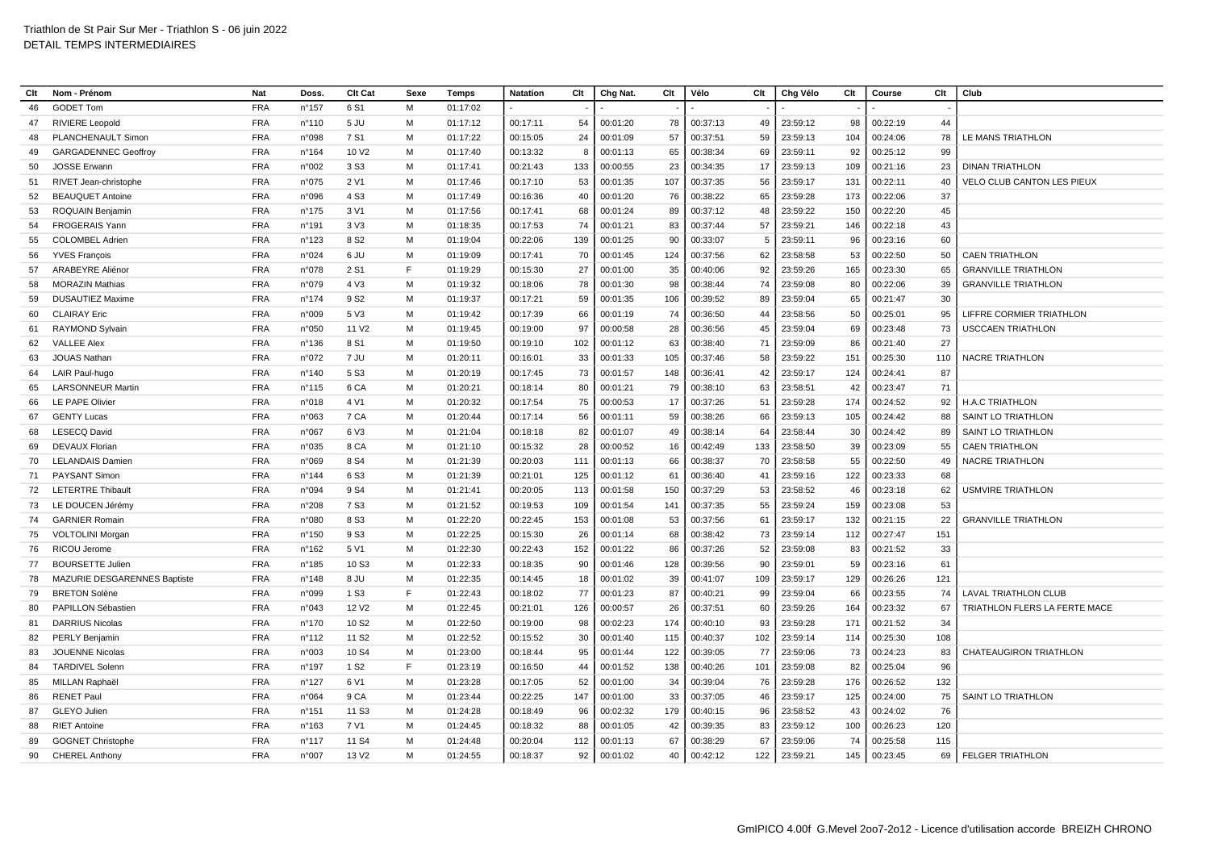| Clt | Nom - Prénom                 | Nat        | Doss.           | Clt Cat           | Sexe | <b>Temps</b> | <b>Natation</b> | Clt | Chg Nat. | Clt | Vélo     | Clt | Chg Vélo | Clt | Course   | Clt | Club                          |
|-----|------------------------------|------------|-----------------|-------------------|------|--------------|-----------------|-----|----------|-----|----------|-----|----------|-----|----------|-----|-------------------------------|
| 46  | <b>GODET Tom</b>             | <b>FRA</b> | n°157           | 6 S1              | M    | 01:17:02     |                 |     |          |     |          |     |          |     |          |     |                               |
| 47  | <b>RIVIERE Leopold</b>       | <b>FRA</b> | $n^{\circ}110$  | 5JU               | M    | 01:17:12     | 00:17:11        | 54  | 00:01:20 | 78  | 00:37:13 | 49  | 23:59:12 | 98  | 00:22:19 | 44  |                               |
| 48  | PLANCHENAULT Simon           | <b>FRA</b> | n°098           | 7 S1              | М    | 01:17:22     | 00:15:05        | 24  | 00:01:09 | 57  | 00:37:51 | 59  | 23:59:13 | 104 | 00:24:06 | 78  | LE MANS TRIATHLON             |
| 49  | <b>GARGADENNEC Geoffroy</b>  | <b>FRA</b> | n°164           | 10 V <sub>2</sub> | M    | 01:17:40     | 00:13:32        | 8   | 00:01:13 | 65  | 00:38:34 | 69  | 23:59:11 | 92  | 00:25:12 | 99  |                               |
| 50  | <b>JOSSE Erwann</b>          | <b>FRA</b> | n°002           | 3 S <sub>3</sub>  | M    | 01:17:41     | 00:21:43        | 133 | 00:00:55 | 23  | 00:34:35 | 17  | 23:59:13 | 109 | 00:21:16 | 23  | <b>DINAN TRIATHLON</b>        |
| 51  | RIVET Jean-christophe        | <b>FRA</b> | n°075           | 2 V1              | М    | 01:17:46     | 00:17:10        | 53  | 00:01:35 | 107 | 00:37:35 | 56  | 23:59:17 | 131 | 00:22:11 | 40  | VELO CLUB CANTON LES PIEUX    |
| 52  | <b>BEAUQUET Antoine</b>      | <b>FRA</b> | n°096           | 4 S <sub>3</sub>  | M    | 01:17:49     | 00:16:36        | 40  | 00:01:20 | 76  | 00:38:22 | 65  | 23:59:28 | 173 | 00:22:06 | 37  |                               |
| 53  | ROQUAIN Benjamin             | <b>FRA</b> | n°175           | 3 V1              | М    | 01:17:56     | 00:17:41        | 68  | 00:01:24 | 89  | 00:37:12 | 48  | 23:59:22 | 150 | 00:22:20 | 45  |                               |
| 54  | <b>FROGERAIS Yann</b>        | <b>FRA</b> | n°191           | 3 <sub>V</sub> 3  | M    | 01:18:35     | 00:17:53        | 74  | 00:01:21 | 83  | 00:37:44 | 57  | 23:59:21 | 146 | 00:22:18 | 43  |                               |
| 55  | <b>COLOMBEL Adrier</b>       | <b>FRA</b> | n°123           | 8 S <sub>2</sub>  | м    | 01:19:04     | 00:22:06        | 139 | 00:01:25 | 90  | 00:33:07 | -5  | 23:59:11 | 96  | 00:23:16 | 60  |                               |
| 56  | <b>YVES François</b>         | <b>FRA</b> | n°024           | 6 JU              | М    | 01:19:09     | 00:17:41        | 70  | 00:01:45 | 124 | 00:37:56 | 62  | 23:58:58 | 53  | 00:22:50 | 50  | <b>CAEN TRIATHLON</b>         |
| 57  | <b>ARABEYRE Aliéno</b>       | <b>FRA</b> | n°078           | 2 S1              | E    | 01:19:29     | 00:15:30        | 27  | 00:01:00 | 35  | 00:40:06 | 92  | 23:59:26 | 165 | 00:23:30 | 65  | <b>GRANVILLE TRIATHLON</b>    |
| 58  | <b>MORAZIN Mathias</b>       | <b>FRA</b> | n°079           | 4 V3              | M    | 01:19:32     | 00:18:06        | 78  | 00:01:30 | 98  | 00:38:44 | 74  | 23:59:08 | 80  | 00:22:06 | 39  | <b>GRANVILLE TRIATHLON</b>    |
| 59  | <b>DUSAUTIEZ Maxime</b>      | <b>FRA</b> | $n^{\circ}$ 174 | 9 S <sub>2</sub>  | M    | 01:19:37     | 00:17:21        | 59  | 00:01:35 | 106 | 00:39:52 | 89  | 23:59:04 | 65  | 00:21:47 | 30  |                               |
| 60  | <b>CLAIRAY Eric</b>          | <b>FRA</b> | n°009           | 5 V3              | M    | 01:19:42     | 00:17:39        | 66  | 00:01:19 | 74  | 00:36:50 | 44  | 23:58:56 | 50  | 00:25:01 | 95  | LIFFRE CORMIER TRIATHLON      |
| 61  | RAYMOND Sylvain              | <b>FRA</b> | n°050           | 11 V <sub>2</sub> | М    | 01:19:45     | 00:19:00        | 97  | 00:00:58 | 28  | 00:36:56 | 45  | 23:59:04 | 69  | 00:23:48 | 73  | <b>USCCAEN TRIATHLON</b>      |
| 62  | <b>VALLEE Alex</b>           | <b>FRA</b> | n°136           | 8 S1              | M    | 01:19:50     | 00:19:10        | 102 | 00:01:12 | 63  | 00:38:40 | 71  | 23:59:09 | 86  | 00:21:40 | 27  |                               |
| 63  | JOUAS Nathan                 | <b>FRA</b> | n°072           | 7 JU              | M    | 01:20:11     | 00:16:01        | 33  | 00:01:33 | 105 | 00:37:46 | 58  | 23:59:22 | 151 | 00:25:30 | 110 | <b>NACRE TRIATHLON</b>        |
| 64  | LAIR Paul-hugo               | <b>FRA</b> | $n^{\circ}$ 140 | 5 S3              | M    | 01:20:19     | 00:17:45        | 73  | 00:01:57 | 148 | 00:36:41 | 42  | 23:59:17 | 124 | 00:24:41 | 87  |                               |
| 65  | <b>LARSONNEUR Martin</b>     | <b>FRA</b> | $n^{\circ}$ 115 | 6 CA              | М    | 01:20:21     | 00:18:14        | 80  | 00:01:21 | 79  | 00:38:10 | 63  | 23:58:51 | 42  | 00:23:47 | 71  |                               |
| 66  | LE PAPE Olivier              | <b>FRA</b> | n°018           | 4 V1              | м    | 01:20:32     | 00:17:54        | 75  | 00:00:53 | 17  | 00:37:26 | 51  | 23:59:28 | 174 | 00:24:52 | 92  | <b>H.A.C TRIATHLON</b>        |
| 67  | <b>GENTY Lucas</b>           | <b>FRA</b> | n°063           | 7 CA              | M    | 01:20:44     | 00:17:14        | 56  | 00:01:11 | 59  | 00:38:26 | 66  | 23:59:13 | 105 | 00:24:42 | 88  | SAINT LO TRIATHLON            |
| 68  | <b>LESECQ David</b>          | <b>FRA</b> | n°067           | 6 V3              | М    | 01:21:04     | 00:18:18        | 82  | 00:01:07 | 49  | 00:38:14 | 64  | 23:58:44 | 30  | 00:24:42 | 89  | SAINT LO TRIATHLON            |
| 69  | <b>DEVAUX Florian</b>        | <b>FRA</b> | n°035           | 8 CA              | M    | 01:21:10     | 00:15:32        | 28  | 00:00:52 | 16  | 00:42:49 | 133 | 23:58:50 | 39  | 00:23:09 | 55  | <b>CAEN TRIATHLON</b>         |
| 70  | <b>LELANDAIS Damien</b>      | <b>FRA</b> | n°069           | 8 S <sub>4</sub>  | м    | 01:21:39     | 00:20:03        | 111 | 00:01:13 | 66  | 00:38:37 | 70  | 23:58:58 | 55  | 00:22:50 | 49  | <b>NACRE TRIATHLON</b>        |
| 71  | <b>PAYSANT Simon</b>         | <b>FRA</b> | $n^{\circ}$ 144 | 6 S <sub>3</sub>  | м    | 01:21:39     | 00:21:01        | 125 | 00:01:12 | 61  | 00:36:40 | 41  | 23:59:16 | 122 | 00:23:33 | 68  |                               |
| 72  | <b>LETERTRE Thibault</b>     | <b>FRA</b> | n°094           | 9 S <sub>4</sub>  | M    | 01:21:41     | 00:20:05        | 113 | 00:01:58 | 150 | 00:37:29 | 53  | 23:58:52 | 46  | 00:23:18 | 62  | <b>USMVIRE TRIATHLON</b>      |
| 73  | LE DOUCEN Jérémy             | <b>FRA</b> | n°208           | 7 S <sub>3</sub>  | M    | 01:21:52     | 00:19:53        | 109 | 00:01:54 | 141 | 00:37:35 | 55  | 23:59:24 | 159 | 00:23:08 | 53  |                               |
| 74  | <b>GARNIER Romain</b>        | <b>FRA</b> | n°080           | 8 S3              | м    | 01:22:20     | 00:22:45        | 153 | 00:01:08 | 53  | 00:37:56 | 61  | 23:59:17 | 132 | 00:21:15 | 22  | <b>GRANVILLE TRIATHLON</b>    |
| 75  | <b>VOLTOLINI Morgan</b>      | <b>FRA</b> | n°150           | 9 S <sub>3</sub>  | М    | 01:22:25     | 00:15:30        | 26  | 00:01:14 | 68  | 00:38:42 | 73  | 23:59:14 | 112 | 00:27:47 | 151 |                               |
| 76  | RICOU Jerome                 | <b>FRA</b> | $n^{\circ}162$  | 5 V1              | м    | 01:22:30     | 00:22:43        | 152 | 00:01:22 | 86  | 00:37:26 | 52  | 23:59:08 | 83  | 00:21:52 | 33  |                               |
| 77  | <b>BOURSETTE Julien</b>      | <b>FRA</b> | n°185           | 10 S <sub>3</sub> | M    | 01:22:33     | 00:18:35        | 90  | 00:01:46 | 128 | 00:39:56 | 90  | 23:59:01 | 59  | 00:23:16 | 61  |                               |
| 78  | MAZURIE DESGARENNES Baptiste | <b>FRA</b> | n°148           | 8 JU              | м    | 01:22:35     | 00:14:45        | 18  | 00:01:02 | 39  | 00:41:07 | 109 | 23:59:17 | 129 | 00:26:26 | 121 |                               |
| 79  | <b>BRETON Solène</b>         | <b>FRA</b> | n°099           | 1 S <sub>3</sub>  | E    | 01:22:43     | 00:18:02        | 77  | 00:01:23 | 87  | 00:40:21 | 99  | 23:59:04 | 66  | 00:23:55 | 74  | <b>LAVAL TRIATHLON CLUB</b>   |
| 80  | PAPILLON Sébastien           | <b>FRA</b> | n°043           | 12 V <sub>2</sub> | M    | 01:22:45     | 00:21:01        | 126 | 00:00:57 | 26  | 00:37:51 | 60  | 23:59:26 | 164 | 00:23:32 | 67  | TRIATHLON FLERS LA FERTE MACE |
| -81 | <b>DARRIUS Nicolas</b>       | <b>FRA</b> | $n^{\circ}$ 170 | 10 S <sub>2</sub> | м    | 01:22:50     | 00:19:00        | 98  | 00:02:23 | 174 | 00:40:10 | 93  | 23:59:28 | 171 | 00:21:52 | 34  |                               |
| 82  | <b>PERLY Benjamin</b>        | <b>FRA</b> | n°112           | 11 S <sub>2</sub> | M    | 01:22:52     | 00:15:52        | 30  | 00:01:40 | 115 | 00:40:37 | 102 | 23:59:14 | 114 | 00:25:30 | 108 |                               |
| 83  | JOUENNE Nicolas              | <b>FRA</b> | n°003           | 10 S4             | м    | 01:23:00     | 00:18:44        | 95  | 00:01:44 | 122 | 00:39:05 | 77  | 23:59:06 | 73  | 00:24:23 | 83  | CHATEAUGIRON TRIATHLON        |
| 84  | <b>TARDIVEL Solenr</b>       | <b>FRA</b> | n°197           | 1 S <sub>2</sub>  | E    | 01:23:19     | 00:16:50        | 44  | 00:01:52 | 138 | 00:40:26 | 101 | 23:59:08 | 82  | 00:25:04 | 96  |                               |
| 85  | MILLAN Raphaël               | <b>FRA</b> | $n^{\circ}$ 127 | 6 V1              | M    | 01:23:28     | 00:17:05        | 52  | 00:01:00 | 34  | 00:39:04 | 76  | 23:59:28 | 176 | 00:26:52 | 132 |                               |
| 86  | <b>RENET Paul</b>            | <b>FRA</b> | n°064           | 9 CA              | M    | 01:23:44     | 00:22:25        | 147 | 00:01:00 | 33  | 00:37:05 | 46  | 23:59:17 | 125 | 00:24:00 | 75  | SAINT LO TRIATHLON            |
| 87  | <b>GLEYO Julien</b>          | <b>FRA</b> | n°151           | 11 S <sub>3</sub> | M    | 01:24:28     | 00:18:49        | 96  | 00:02:32 | 179 | 00:40:15 | 96  | 23:58:52 | 43  | 00:24:02 | 76  |                               |
| 88  | <b>RIET Antoine</b>          | <b>FRA</b> | n°163           | 7 V1              | м    | 01:24:45     | 00:18:32        | 88  | 00:01:05 | 42  | 00:39:35 | 83  | 23:59:12 | 100 | 00:26:23 | 120 |                               |
| 89  | <b>GOGNET Christophe</b>     | <b>FRA</b> | n°117           | 11 S4             | м    | 01:24:48     | 00:20:04        | 112 | 00:01:13 | 67  | 00:38:29 | 67  | 23:59:06 | 74  | 00:25:58 | 115 |                               |
| 90  | <b>CHEREL Anthony</b>        | <b>FRA</b> | n°007           | 13 V <sub>2</sub> | м    | 01:24:55     | 00:18:37        | 92  | 00:01:02 | 40  | 00:42:12 | 122 | 23:59:21 | 145 | 00:23:45 | 69  | FELGER TRIATHLON              |
|     |                              |            |                 |                   |      |              |                 |     |          |     |          |     |          |     |          |     |                               |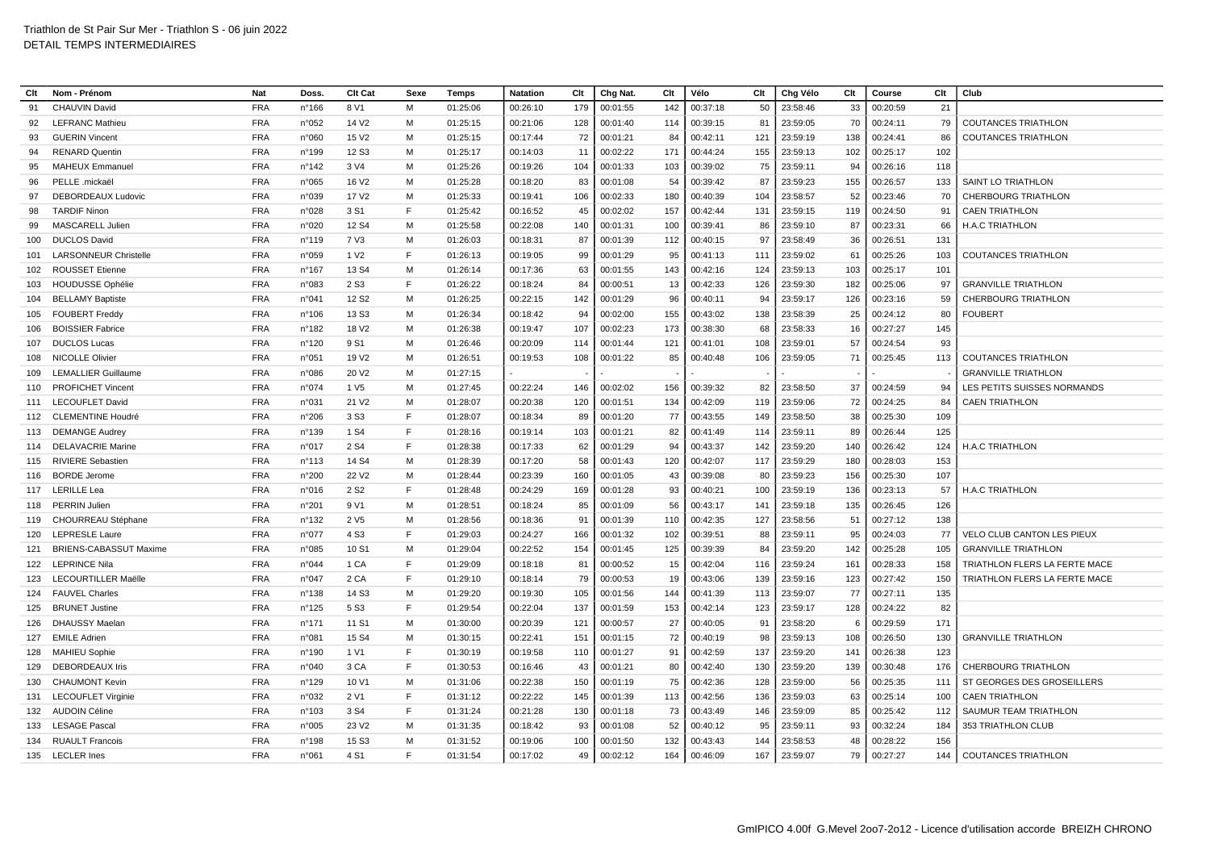| Clt | Nom - Prénom                  | Nat        | Doss.           | Clt Cat           | Sexe | Temps    | <b>Natation</b> | Clt | Chg Nat. | Clt | Vélo     | Clt | Chg Vélo | Clt  | Course   | Clt | Club                          |
|-----|-------------------------------|------------|-----------------|-------------------|------|----------|-----------------|-----|----------|-----|----------|-----|----------|------|----------|-----|-------------------------------|
| 91  | <b>CHAUVIN David</b>          | <b>FRA</b> | $n^{\circ}$ 166 | 8 V1              | M    | 01:25:06 | 00:26:10        | 179 | 00:01:55 | 142 | 00:37:18 | 50  | 23:58:46 | 33   | 00:20:59 | 21  |                               |
| 92  | <b>LEFRANC Mathieu</b>        | <b>FRA</b> | n°052           | 14 V <sub>2</sub> | м    | 01:25:15 | 00:21:06        | 128 | 00:01:40 | 114 | 00:39:15 | 81  | 23:59:05 | 70   | 00:24:11 | 79  | <b>COUTANCES TRIATHLON</b>    |
| 93  | <b>GUERIN Vincent</b>         | <b>FRA</b> | n°060           | 15 V <sub>2</sub> | M    | 01:25:15 | 00:17:44        | 72  | 00:01:21 | 84  | 00:42:11 | 121 | 23:59:19 | 138  | 00:24:41 | 86  | <b>COUTANCES TRIATHLON</b>    |
| 94  | <b>RENARD Quentin</b>         | <b>FRA</b> | n°199           | 12 S <sub>3</sub> | M    | 01:25:17 | 00:14:03        | 11  | 00:02:22 | 171 | 00:44:24 | 155 | 23:59:13 | 102  | 00:25:17 | 102 |                               |
| 95  | <b>MAHEUX Emmanuel</b>        | <b>FRA</b> | n°142           | 3 V4              | м    | 01:25:26 | 00:19:26        | 104 | 00:01:33 | 103 | 00:39:02 | 75  | 23:59:11 | 94   | 00:26:16 | 118 |                               |
| 96  | PELLE .mickaël                | <b>FRA</b> | n°065           | 16 V <sub>2</sub> | M    | 01:25:28 | 00:18:20        | 83  | 00:01:08 | 54  | 00:39:42 | 87  | 23:59:23 | 155  | 00:26:57 | 133 | <b>SAINT LO TRIATHLON</b>     |
| 97  | DEBORDEAUX Ludovic            | <b>FRA</b> | n°039           | 17 V <sub>2</sub> | м    | 01:25:33 | 00:19:41        | 106 | 00:02:33 | 180 | 00:40:39 | 104 | 23:58:57 | 52   | 00:23:46 | -70 | <b>CHERBOURG TRIATHLON</b>    |
| 98  | <b>TARDIF Ninon</b>           | <b>FRA</b> | n°028           | 3 S1              | F.   | 01:25:42 | 00:16:52        | 45  | 00:02:02 | 157 | 00:42:44 | 131 | 23:59:15 | 119  | 00:24:50 | 91  | <b>CAEN TRIATHLON</b>         |
| 99  | MASCARELL Julien              | <b>FRA</b> | n°020           | 12 S <sub>4</sub> | М    | 01:25:58 | 00:22:08        | 140 | 00:01:31 | 100 | 00:39:41 | 86  | 23:59:10 | 87   | 00:23:31 | 66  | <b>H.A.C TRIATHLON</b>        |
| 100 | <b>DUCLOS David</b>           | <b>FRA</b> | n°119           | 7 V3              | м    | 01:26:03 | 00:18:31        | 87  | 00:01:39 | 112 | 00:40:15 | 97  | 23:58:49 | 36   | 00:26:51 | 131 |                               |
| 101 | <b>LARSONNEUR Christelle</b>  | <b>FRA</b> | n°059           | 1 V <sub>2</sub>  | E    | 01:26:13 | 00:19:05        | 99  | 00:01:29 | 95  | 00:41:13 | 111 | 23:59:02 | 61   | 00:25:26 | 103 | <b>COUTANCES TRIATHLON</b>    |
| 102 | <b>ROUSSET Etienne</b>        | <b>FRA</b> | n°167           | 13 S4             | M    | 01:26:14 | 00:17:36        | 63  | 00:01:55 | 143 | 00:42:16 | 124 | 23:59:13 | 103  | 00:25:17 | 101 |                               |
| 103 | <b>HOUDUSSE Ophélie</b>       | <b>FRA</b> | n°083           | 2 S <sub>3</sub>  | E    | 01:26:22 | 00:18:24        | 84  | 00:00:51 | 13  | 00:42:33 | 126 | 23:59:30 | 182  | 00:25:06 | 97  | <b>GRANVILLE TRIATHLON</b>    |
| 104 | <b>BELLAMY Baptiste</b>       | <b>FRA</b> | n°041           | 12 S <sub>2</sub> | м    | 01:26:25 | 00:22:15        | 142 | 00:01:29 | 96  | 00:40:11 | 94  | 23:59:17 | 126  | 00:23:16 | 59  | <b>CHERBOURG TRIATHLON</b>    |
| 105 | <b>FOUBERT Freddy</b>         | <b>FRA</b> | n°106           | 13 S <sub>3</sub> | M    | 01:26:34 | 00:18:42        | 94  | 00:02:00 | 155 | 00:43:02 | 138 | 23:58:39 | 25   | 00:24:12 | 80  | <b>FOUBERT</b>                |
| 106 | <b>BOISSIER Fabrice</b>       | <b>FRA</b> | n°182           | 18 V <sub>2</sub> | м    | 01:26:38 | 00:19:47        | 107 | 00:02:23 | 173 | 00:38:30 | 68  | 23:58:33 | 16   | 00:27:27 | 145 |                               |
| 107 | <b>DUCLOS Lucas</b>           | <b>FRA</b> | n°120           | 9 S1              | M    | 01:26:46 | 00:20:09        | 114 | 00:01:44 | 121 | 00:41:01 | 108 | 23:59:01 | 57   | 00:24:54 | 93  |                               |
| 108 | <b>NICOLLE Olivier</b>        | <b>FRA</b> | n°051           | 19 V <sub>2</sub> | M    | 01:26:51 | 00:19:53        | 108 | 00:01:22 | 85  | 00:40:48 | 106 | 23:59:05 | 71   | 00:25:45 | 113 | <b>COUTANCES TRIATHLON</b>    |
| 109 | <b>LEMALLIER Guillaume</b>    | <b>FRA</b> | n°086           | 20 V <sub>2</sub> | м    | 01:27:15 |                 |     |          |     |          |     |          |      |          |     | <b>GRANVILLE TRIATHLON</b>    |
| 110 | <b>PROFICHET Vincent</b>      | <b>FRA</b> | n°074           | 1 V <sub>5</sub>  | M    | 01:27:45 | 00:22:24        | 146 | 00:02:02 | 156 | 00:39:32 | 82  | 23:58:50 | 37   | 00:24:59 | 94  | LES PETITS SUISSES NORMANDS   |
| 111 | <b>LECOUFLET David</b>        | <b>FRA</b> | n°031           | 21 V <sub>2</sub> | M    | 01:28:07 | 00:20:38        | 120 | 00:01:51 | 134 | 00:42:09 | 119 | 23:59:06 | 72   | 00:24:25 | 84  | <b>CAEN TRIATHLON</b>         |
| 112 | <b>CLEMENTINE Houdré</b>      | <b>FRA</b> | n°206           | 3 S <sub>3</sub>  | E    | 01:28:07 | 00:18:34        | 89  | 00:01:20 | 77  | 00:43:55 | 149 | 23:58:50 | 38   | 00:25:30 | 109 |                               |
| 113 | <b>DEMANGE Audrey</b>         | <b>FRA</b> | n°139           | 1 S <sub>4</sub>  | E    | 01:28:16 | 00:19:14        | 103 | 00:01:21 | 82  | 00:41:49 | 114 | 23:59:11 | 89   | 00:26:44 | 125 |                               |
| 114 | <b>DELAVACRIE Marine</b>      | <b>FRA</b> | n°017           | 2 S <sub>4</sub>  | F    | 01:28:38 | 00:17:33        | 62  | 00:01:29 | 94  | 00:43:37 | 142 | 23:59:20 | 140  | 00:26:42 | 124 | <b>H.A.C TRIATHLON</b>        |
| 115 | <b>RIVIERE Sebastien</b>      | <b>FRA</b> | $n^{\circ}$ 113 | 14 S4             | м    | 01:28:39 | 00:17:20        | 58  | 00:01:43 | 120 | 00:42:07 | 117 | 23:59:29 | 180  | 00:28:03 | 153 |                               |
| 116 | <b>BORDE</b> Jerome           | <b>FRA</b> | n°200           | 22 V <sub>2</sub> | M    | 01:28:44 | 00:23:39        | 160 | 00:01:05 | 43  | 00:39:08 | 80  | 23:59:23 | 156  | 00:25:30 | 107 |                               |
| 117 | <b>LERILLE Lea</b>            | <b>FRA</b> | n°016           | 2 S <sub>2</sub>  | F    | 01:28:48 | 00:24:29        | 169 | 00:01:28 | 93  | 00:40:21 | 100 | 23:59:19 | 136  | 00:23:13 | 57  | H.A.C TRIATHLON               |
| 118 | <b>PERRIN Julien</b>          | <b>FRA</b> | n°201           | 9 V1              | M    | 01:28:51 | 00:18:24        | 85  | 00:01:09 | 56  | 00:43:17 | 141 | 23:59:18 | 135  | 00:26:45 | 126 |                               |
| 119 | CHOURREAU Stéphane            | <b>FRA</b> | n°132           | 2 V <sub>5</sub>  | м    | 01:28:56 | 00:18:36        | 91  | 00:01:39 | 110 | 00:42:35 | 127 | 23:58:56 | 51   | 00:27:12 | 138 |                               |
| 120 | <b>LEPRESLE Laure</b>         | <b>FRA</b> | n°077           | 4 S <sub>3</sub>  | F    | 01:29:03 | 00:24:27        | 166 | 00:01:32 | 102 | 00:39:51 | 88  | 23:59:11 | 95   | 00:24:03 | 77  | VELO CLUB CANTON LES PIEUX    |
| 121 | <b>BRIENS-CABASSUT Maxime</b> | <b>FRA</b> | n°085           | 10 S1             | M    | 01:29:04 | 00:22:52        | 154 | 00:01:45 | 125 | 00:39:39 | 84  | 23:59:20 | 142  | 00:25:28 | 105 | <b>GRANVILLE TRIATHLON</b>    |
| 122 | <b>LEPRINCE Nila</b>          | <b>FRA</b> | n°044           | 1 CA              | F    | 01:29:09 | 00:18:18        | 81  | 00:00:52 | 15  | 00:42:04 | 116 | 23:59:24 | 161  | 00:28:33 | 158 | TRIATHLON FLERS LA FERTE MACE |
| 123 | <b>LECOURTILLER Maëlle</b>    | <b>FRA</b> | n°047           | 2 CA              | F    | 01:29:10 | 00:18:14        | 79  | 00:00:53 | 19  | 00:43:06 | 139 | 23:59:16 | 123  | 00:27:42 | 150 | TRIATHLON FLERS LA FERTE MACE |
| 124 | <b>FAUVEL Charles</b>         | <b>FRA</b> | n°138           | 14 S3             | M    | 01:29:20 | 00:19:30        | 105 | 00:01:56 | 144 | 00:41:39 | 113 | 23:59:07 | 77   | 00:27:11 | 135 |                               |
| 125 | <b>BRUNET Justine</b>         | <b>FRA</b> | $n^{\circ}$ 125 | 5 S <sub>3</sub>  | E    | 01:29:54 | 00:22:04        | 137 | 00:01:59 | 153 | 00:42:14 | 123 | 23:59:17 | 128  | 00:24:22 | 82  |                               |
| 126 | <b>DHAUSSY Maelan</b>         | <b>FRA</b> | $n^{\circ}$ 171 | 11 S1             | М    | 01:30:00 | 00:20:39        | 121 | 00:00:57 | 27  | 00:40:05 | 91  | 23:58:20 | -6   | 00:29:59 | 171 |                               |
| 127 | <b>EMILE Adrien</b>           | <b>FRA</b> | n°081           | 15 S4             | M    | 01:30:15 | 00:22:41        | 151 | 00:01:15 | 72  | 00:40:19 | 98  | 23:59:13 | 108  | 00:26:50 | 130 | <b>GRANVILLE TRIATHLON</b>    |
| 128 | <b>MAHIEU Sophie</b>          | <b>FRA</b> | n°190           | 1 V1              | E    | 01:30:19 | 00:19:58        | 110 | 00:01:27 | 91  | 00:42:59 | 137 | 23:59:20 | 141  | 00:26:38 | 123 |                               |
| 129 | DEBORDEAUX Iris               | <b>FRA</b> | n°040           | 3 CA              | F    | 01:30:53 | 00:16:46        | 43  | 00:01:21 | 80  | 00:42:40 | 130 | 23:59:20 | 139  | 00:30:48 | 176 | CHERBOURG TRIATHLON           |
| 130 | <b>CHAUMONT Kevin</b>         | <b>FRA</b> | n°129           | 10 V1             | M    | 01:31:06 | 00:22:38        | 150 | 00:01:19 | 75  | 00:42:36 | 128 | 23:59:00 | 56   | 00:25:35 | 111 | ST GEORGES DES GROSEILLERS    |
| 131 | <b>LECOUFLET Virginie</b>     | <b>FRA</b> | n°032           | 2 V1              | F    | 01:31:12 | 00:22:22        | 145 | 00:01:39 | 113 | 00:42:56 | 136 | 23:59:03 | 63   | 00:25:14 | 100 | <b>CAEN TRIATHLON</b>         |
| 132 | <b>AUDOIN Céline</b>          | <b>FRA</b> | $n^{\circ}103$  | 3 S <sub>4</sub>  | F    | 01:31:24 | 00:21:28        | 130 | 00:01:18 | 73  | 00:43:49 | 146 | 23:59:09 | 85   | 00:25:42 | 112 | SAUMUR TEAM TRIATHLON         |
| 133 | <b>LESAGE Pascal</b>          | <b>FRA</b> | n°005           | 23 V <sub>2</sub> | М    | 01:31:35 | 00:18:42        | 93  | 00:01:08 | 52  | 00:40:12 | 95  | 23:59:11 | 93   | 00:32:24 | 184 | 353 TRIATHLON CLUB            |
| 134 | <b>RUAULT Francois</b>        | <b>FRA</b> | n°198           | 15 S <sub>3</sub> | м    | 01:31:52 | 00:19:06        | 100 | 00:01:50 | 132 | 00:43:43 | 144 | 23:58:53 | 48   | 00:28:22 | 156 |                               |
|     | 135 LECLER Ines               | <b>FRA</b> | n°061           | 4 S1              | E    | 01:31:54 | 00:17:02        | 49  | 00:02:12 | 164 | 00:46:09 | 167 | 23:59:07 | 79 I | 00:27:27 | 144 | <b>COUTANCES TRIATHLON</b>    |
|     |                               |            |                 |                   |      |          |                 |     |          |     |          |     |          |      |          |     |                               |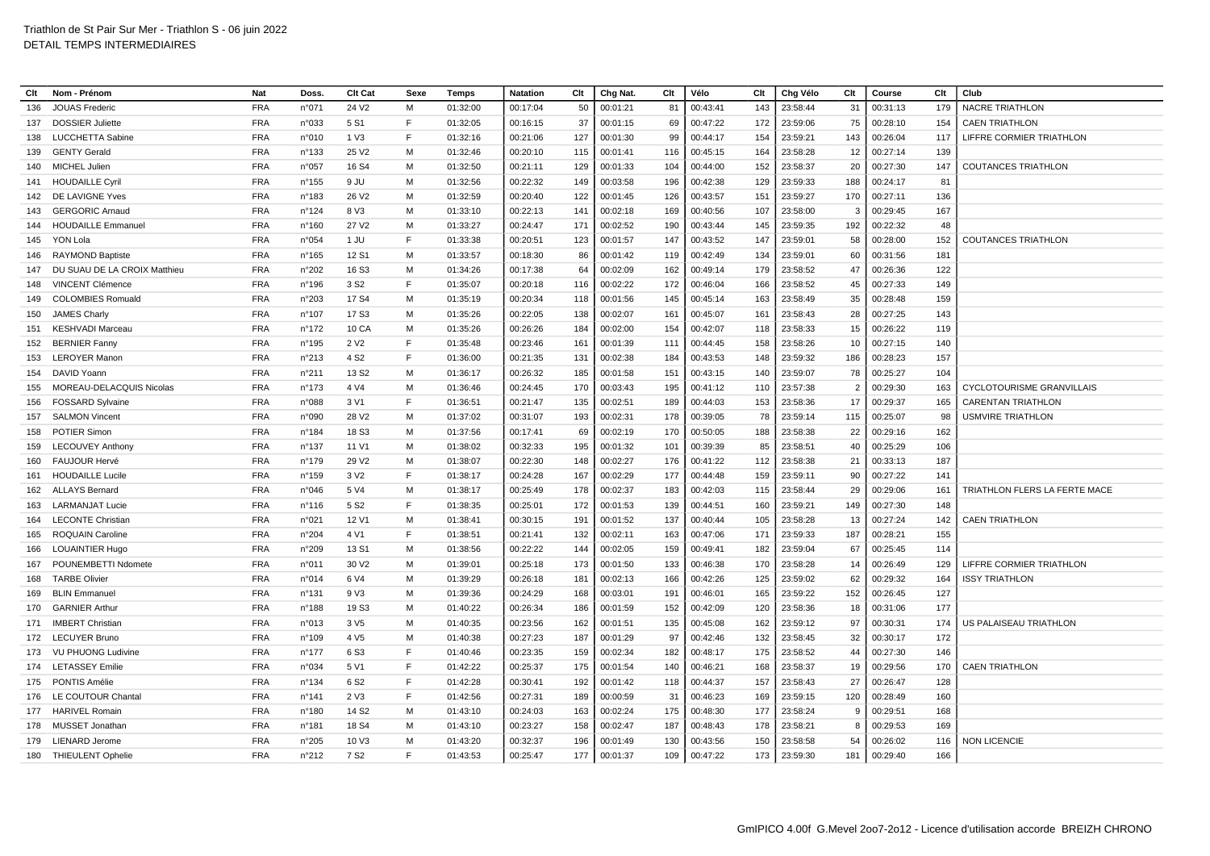| Clt | Nom - Prénom                 | Nat        | Doss.           | Clt Cat           | Sexe | Temps    | <b>Natation</b> | Clt | Chg Nat  | Clt | Vélo     | Clt | Chg Vélo | Clt          | Course   | Clt | Club                            |
|-----|------------------------------|------------|-----------------|-------------------|------|----------|-----------------|-----|----------|-----|----------|-----|----------|--------------|----------|-----|---------------------------------|
| 136 | <b>JOUAS Frederic</b>        | <b>FRA</b> | n°071           | 24 V <sub>2</sub> | м    | 01:32:00 | 00:17:04        | 50  | 00:01:21 | 81  | 00:43:41 | 143 | 23:58:44 | 31           | 00:31:13 | 179 | <b>NACRE TRIATHLON</b>          |
| 137 | <b>DOSSIER Juliette</b>      | <b>FRA</b> | n°033           | 5 S1              | F    | 01:32:05 | 00:16:15        | 37  | 00:01:15 | 69  | 00:47:22 | 172 | 23:59:06 | 75           | 00:28:10 | 154 | <b>CAEN TRIATHLON</b>           |
| 138 | LUCCHETTA Sabine             | <b>FRA</b> | n°010           | 1 V3              | F    | 01:32:16 | 00:21:06        | 127 | 00:01:30 | 99  | 00:44:17 | 154 | 23:59:21 | 143          | 00:26:04 | 117 | <b>LIFFRE CORMIER TRIATHLON</b> |
| 139 | <b>GENTY Gerald</b>          | <b>FRA</b> | n°133           | 25 V <sub>2</sub> | M    | 01:32:46 | 00:20:10        | 115 | 00:01:41 | 116 | 00:45:15 | 164 | 23:58:28 | 12           | 00:27:14 | 139 |                                 |
| 140 | MICHEL Julien                | <b>FRA</b> | n°057           | 16 S4             | м    | 01:32:50 | 00:21:11        | 129 | 00:01:33 | 104 | 00:44:00 | 152 | 23:58:37 | 20           | 00:27:30 | 147 | <b>COUTANCES TRIATHLON</b>      |
| 141 | <b>HOUDAILLE Cyril</b>       | <b>FRA</b> | $n^{\circ}$ 155 | 9 JU              | м    | 01:32:56 | 00:22:32        | 149 | 00:03:58 | 196 | 00:42:38 | 129 | 23:59:33 | 188          | 00:24:17 | 81  |                                 |
| 142 | DE LAVIGNE Yves              | <b>FRA</b> | n°183           | 26 V <sub>2</sub> | M    | 01:32:59 | 00:20:40        | 122 | 00:01:45 | 126 | 00:43:57 | 151 | 23:59:27 | 170          | 00:27:11 | 136 |                                 |
| 143 | <b>GERGORIC Arnaud</b>       | <b>FRA</b> | n°124           | 8 V3              | M    | 01:33:10 | 00:22:13        | 141 | 00:02:18 | 169 | 00:40:56 | 107 | 23:58:00 | -3           | 00:29:45 | 167 |                                 |
| 144 | <b>HOUDAILLE Emmanuel</b>    | <b>FRA</b> | n°160           | 27 V <sub>2</sub> | M    | 01:33:27 | 00:24:47        | 171 | 00:02:52 | 190 | 00:43:44 | 145 | 23:59:35 | 192          | 00:22:32 | 48  |                                 |
| 145 | YON Lola                     | <b>FRA</b> | n°054           | 1 JU              | F    | 01:33:38 | 00:20:51        | 123 | 00:01:57 | 147 | 00:43:52 | 147 | 23:59:01 | 58           | 00:28:00 | 152 | <b>COUTANCES TRIATHLON</b>      |
| 146 | <b>RAYMOND Baptiste</b>      | <b>FRA</b> | $n^{\circ}165$  | 12 S1             | м    | 01:33:57 | 00:18:30        | 86  | 00:01:42 | 119 | 00:42:49 | 134 | 23:59:01 | 60           | 00:31:56 | 181 |                                 |
| 147 | DU SUAU DE LA CROIX Matthieu | <b>FRA</b> | n°202           | 16 S <sub>3</sub> | M    | 01:34:26 | 00:17:38        | 64  | 00:02:09 | 162 | 00:49:14 | 179 | 23:58:52 | 47           | 00:26:36 | 122 |                                 |
| 148 | <b>VINCENT Clémence</b>      | <b>FRA</b> | $n^{\circ}$ 196 | 3 S <sub>2</sub>  | F    | 01:35:07 | 00:20:18        | 116 | 00:02:22 | 172 | 00:46:04 | 166 | 23:58:52 | 45           | 00:27:33 | 149 |                                 |
| 149 | <b>COLOMBIES Romuald</b>     | <b>FRA</b> | n°203           | 17 S4             | M    | 01:35:19 | 00:20:34        | 118 | 00:01:56 | 145 | 00:45:14 | 163 | 23:58:49 | 35           | 00:28:48 | 159 |                                 |
| 150 | <b>JAMES Charly</b>          | <b>FRA</b> | n°107           | 17 S3             | M    | 01:35:26 | 00:22:05        | 138 | 00:02:07 | 161 | 00:45:07 | 161 | 23:58:43 | 28           | 00:27:25 | 143 |                                 |
| 151 | <b>KESHVADI Marceau</b>      | <b>FRA</b> | $n^{\circ}$ 172 | 10 CA             | м    | 01:35:26 | 00:26:26        | 184 | 00:02:00 | 154 | 00:42:07 | 118 | 23:58:33 | 15           | 00:26:22 | 119 |                                 |
| 152 | <b>BERNIER Fanny</b>         | <b>FRA</b> | $n^{\circ}$ 195 | 2 V <sub>2</sub>  | F    | 01:35:48 | 00:23:46        | 161 | 00:01:39 | 111 | 00:44:45 | 158 | 23:58:26 | 10           | 00:27:15 | 140 |                                 |
| 153 | <b>LEROYER Manon</b>         | <b>FRA</b> | n°213           | 4 S <sub>2</sub>  | E    | 01:36:00 | 00:21:35        | 131 | 00:02:38 | 184 | 00:43:53 | 148 | 23:59:32 | 186          | 00:28:23 | 157 |                                 |
| 154 | DAVID Yoann                  | <b>FRA</b> | n°211           | 13 S <sub>2</sub> | M    | 01:36:17 | 00:26:32        | 185 | 00:01:58 | 151 | 00:43:15 | 140 | 23:59:07 | 78           | 00:25:27 | 104 |                                 |
| 155 | MOREAU-DELACQUIS Nicolas     | <b>FRA</b> | $n^{\circ}$ 173 | 4 V4              | М    | 01:36:46 | 00:24:45        | 170 | 00:03:43 | 195 | 00:41:12 | 110 | 23:57:38 |              | 00:29:30 | 163 | CYCLOTOURISME GRANVILLAIS       |
| 156 | <b>FOSSARD Sylvaine</b>      | <b>FRA</b> | n°088           | 3 V1              | F    | 01:36:51 | 00:21:47        | 135 | 00:02:51 | 189 | 00:44:03 | 153 | 23:58:36 | 17           | 00:29:37 | 165 | <b>CARENTAN TRIATHLON</b>       |
| 157 | <b>SALMON Vincent</b>        | <b>FRA</b> | n°090           | 28 V <sub>2</sub> | M    | 01:37:02 | 00:31:07        | 193 | 00:02:31 | 178 | 00:39:05 | 78  | 23:59:14 | 115          | 00:25:07 | 98  | <b>USMVIRE TRIATHLON</b>        |
| 158 | <b>POTIER Simon</b>          | <b>FRA</b> | n°184           | 18 S <sub>3</sub> | М    | 01:37:56 | 00:17:41        | 69  | 00:02:19 | 170 | 00:50:05 | 188 | 23:58:38 | 22           | 00:29:16 | 162 |                                 |
| 159 | <b>LECOUVEY Anthony</b>      | <b>FRA</b> | n°137           | 11 V1             | м    | 01:38:02 | 00:32:33        | 195 | 00:01:32 | 101 | 00:39:39 | 85  | 23:58:51 | 40           | 00:25:29 | 106 |                                 |
| 160 | <b>FAUJOUR Hervé</b>         | <b>FRA</b> | $n^{\circ}$ 179 | 29 V <sub>2</sub> | м    | 01:38:07 | 00:22:30        | 148 | 00:02:27 | 176 | 00:41:22 | 112 | 23:58:38 | 21           | 00:33:13 | 187 |                                 |
| 161 | <b>HOUDAILLE Lucile</b>      | <b>FRA</b> | $n^{\circ}$ 159 | 3 V <sub>2</sub>  | F    | 01:38:17 | 00:24:28        | 167 | 00:02:29 | 177 | 00:44:48 | 159 | 23:59:11 | 90           | 00:27:22 | 141 |                                 |
| 162 | <b>ALLAYS Bernard</b>        | <b>FRA</b> | n°046           | 5 V4              | M    | 01:38:17 | 00:25:49        | 178 | 00:02:37 | 183 | 00:42:03 | 115 | 23:58:44 | 29           | 00:29:06 | 161 | TRIATHLON FLERS LA FERTE MACE   |
| 163 | <b>LARMANJAT Lucie</b>       | <b>FRA</b> | $n^{\circ}$ 116 | 5 S <sub>2</sub>  | F    | 01:38:35 | 00:25:01        | 172 | 00:01:53 | 139 | 00:44:51 | 160 | 23:59:21 | 149          | 00:27:30 | 148 |                                 |
| 164 | <b>LECONTE Christian</b>     | <b>FRA</b> | n°021           | 12 V1             | м    | 01:38:41 | 00:30:15        | 191 | 00:01:52 | 137 | 00:40:44 | 105 | 23:58:28 | 13           | 00:27:24 | 142 | <b>CAEN TRIATHLON</b>           |
| 165 | <b>ROQUAIN Caroline</b>      | <b>FRA</b> | n°204           | 4 V1              | E    | 01:38:51 | 00:21:41        | 132 | 00:02:11 | 163 | 00:47:06 | 171 | 23:59:33 | 187          | 00:28:21 | 155 |                                 |
| 166 | <b>LOUAINTIER Hugo</b>       | <b>FRA</b> | n°209           | 13 S1             | М    | 01:38:56 | 00:22:22        | 144 | 00:02:05 | 159 | 00:49:41 | 182 | 23:59:04 | 67           | 00:25:45 | 114 |                                 |
| 167 | POUNEMBETTI Ndomete          | <b>FRA</b> | n°011           | 30 V <sub>2</sub> | M    | 01:39:01 | 00:25:18        | 173 | 00:01:50 | 133 | 00:46:38 | 170 | 23:58:28 | 14           | 00:26:49 | 129 | <b>LIFFRE CORMIER TRIATHLON</b> |
| 168 | <b>TARBE Olivier</b>         | <b>FRA</b> | n°014           | 6 V4              | M    | 01:39:29 | 00:26:18        | 181 | 00:02:13 | 166 | 00:42:26 | 125 | 23:59:02 | 62           | 00:29:32 | 164 | <b>ISSY TRIATHLON</b>           |
| 169 | <b>BLIN Emmanuel</b>         | <b>FRA</b> | $n^{\circ}$ 131 | 9 V3              | М    | 01:39:36 | 00:24:29        | 168 | 00:03:01 | 191 | 00:46:01 | 165 | 23:59:22 | 152          | 00:26:45 | 127 |                                 |
| 170 | <b>GARNIER Arthur</b>        | <b>FRA</b> | $n^{\circ}$ 188 | 19 S <sub>3</sub> | M    | 01:40:22 | 00:26:34        | 186 | 00:01:59 | 152 | 00:42:09 | 120 | 23:58:36 | 18           | 00:31:06 | 177 |                                 |
| 171 | <b>IMBERT Christian</b>      | <b>FRA</b> | n°013           | 3 V <sub>5</sub>  | М    | 01:40:35 | 00:23:56        | 162 | 00:01:51 | 135 | 00:45:08 | 162 | 23:59:12 | 97           | 00:30:31 | 174 | US PALAISEAU TRIATHLON          |
| 172 | <b>LECUYER Bruno</b>         | <b>FRA</b> | n°109           | 4 V <sub>5</sub>  | M    | 01:40:38 | 00:27:23        | 187 | 00:01:29 | 97  | 00:42:46 | 132 | 23:58:45 | 32           | 00:30:17 | 172 |                                 |
| 173 | <b>VU PHUONG Ludivine</b>    | <b>FRA</b> | $n^{\circ}$ 177 | 6 S <sub>3</sub>  | F    | 01:40:46 | 00:23:35        | 159 | 00:02:34 | 182 | 00:48:17 | 175 | 23:58:52 | 44           | 00:27:30 | 146 |                                 |
| 174 | <b>LETASSEY Emilie</b>       | <b>FRA</b> | n°034           | 5 V1              | F    | 01:42:22 | 00:25:37        | 175 | 00:01:54 | 140 | 00:46:21 | 168 | 23:58:37 | 19           | 00:29:56 | 170 | <b>CAEN TRIATHLON</b>           |
| 175 | PONTIS Amélie                | <b>FRA</b> | $n^{\circ}$ 134 | 6 S <sub>2</sub>  | E    | 01:42:28 | 00:30:41        | 192 | 00:01:42 | 118 | 00:44:37 | 157 | 23:58:43 | 27           | 00:26:47 | 128 |                                 |
| 176 | LE COUTOUR Chantal           | <b>FRA</b> | $n^{\circ}$ 141 | 2 V3              | E    | 01:42:56 | 00:27:31        | 189 | 00:00:59 | 31  | 00:46:23 | 169 | 23:59:15 | 120          | 00:28:49 | 160 |                                 |
| 177 | <b>HARIVEL Romain</b>        | <b>FRA</b> | n°180           | 14 S <sub>2</sub> | M    | 01:43:10 | 00:24:03        | 163 | 00:02:24 | 175 | 00:48:30 | 177 | 23:58:24 | <sub>9</sub> | 00:29:51 | 168 |                                 |
| 178 | MUSSET Jonathan              | <b>FRA</b> | n°181           | 18 S4             | м    | 01:43:10 | 00:23:27        | 158 | 00:02:47 | 187 | 00:48:43 | 178 | 23:58:21 | -8           | 00:29:53 | 169 |                                 |
| 179 | <b>LIENARD Jerome</b>        | <b>FRA</b> | n°205           | 10 V3             | м    | 01:43:20 | 00:32:37        | 196 | 00:01:49 | 130 | 00:43:56 | 150 | 23:58:58 | 54           | 00:26:02 | 116 | <b>NON LICENCIE</b>             |
|     | 180 THIEULENT Ophelie        | <b>FRA</b> | n°212           | 7 S <sub>2</sub>  | F    | 01:43:53 | 00:25:47        | 177 | 00:01:37 | 109 | 00:47:22 | 173 | 23:59:30 | 181          | 00:29:40 | 166 |                                 |
|     |                              |            |                 |                   |      |          |                 |     |          |     |          |     |          |              |          |     |                                 |